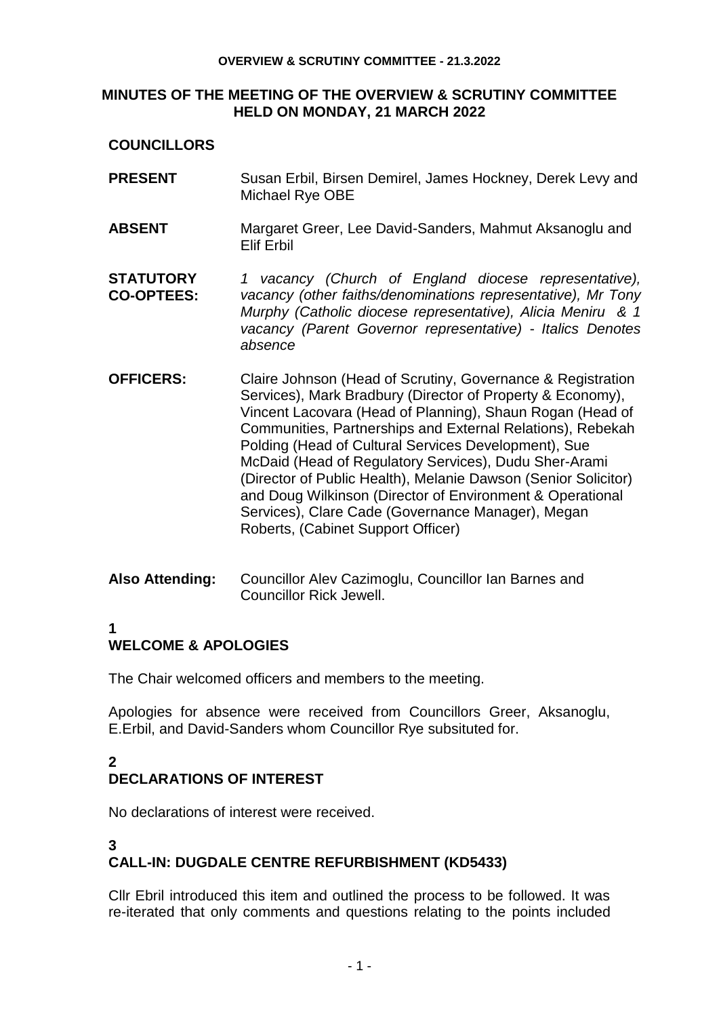#### **OVERVIEW & SCRUTINY COMMITTEE - 21.3.2022**

## **MINUTES OF THE MEETING OF THE OVERVIEW & SCRUTINY COMMITTEE HELD ON MONDAY, 21 MARCH 2022**

## **COUNCILLORS**

- **PRESENT** Susan Erbil, Birsen Demirel, James Hockney, Derek Levy and Michael Rye OBE
- **ABSENT** Margaret Greer, Lee David-Sanders, Mahmut Aksanoglu and Elif Erbil
- **STATUTORY CO-OPTEES:** *1 vacancy (Church of England diocese representative), vacancy (other faiths/denominations representative), Mr Tony Murphy (Catholic diocese representative), Alicia Meniru & 1 vacancy (Parent Governor representative)* - *Italics Denotes absence*
- **OFFICERS:** Claire Johnson (Head of Scrutiny, Governance & Registration Services), Mark Bradbury (Director of Property & Economy), Vincent Lacovara (Head of Planning), Shaun Rogan (Head of Communities, Partnerships and External Relations), Rebekah Polding (Head of Cultural Services Development), Sue McDaid (Head of Regulatory Services), Dudu Sher-Arami (Director of Public Health), Melanie Dawson (Senior Solicitor) and Doug Wilkinson (Director of Environment & Operational Services), Clare Cade (Governance Manager), Megan Roberts, (Cabinet Support Officer)
- **Also Attending:** Councillor Alev Cazimoglu, Councillor Ian Barnes and Councillor Rick Jewell.

## **1**

# **WELCOME & APOLOGIES**

The Chair welcomed officers and members to the meeting.

Apologies for absence were received from Councillors Greer, Aksanoglu, E.Erbil, and David-Sanders whom Councillor Rye subsituted for.

# **2**

## **DECLARATIONS OF INTEREST**

No declarations of interest were received.

## **3 CALL-IN: DUGDALE CENTRE REFURBISHMENT (KD5433)**

Cllr Ebril introduced this item and outlined the process to be followed. It was re-iterated that only comments and questions relating to the points included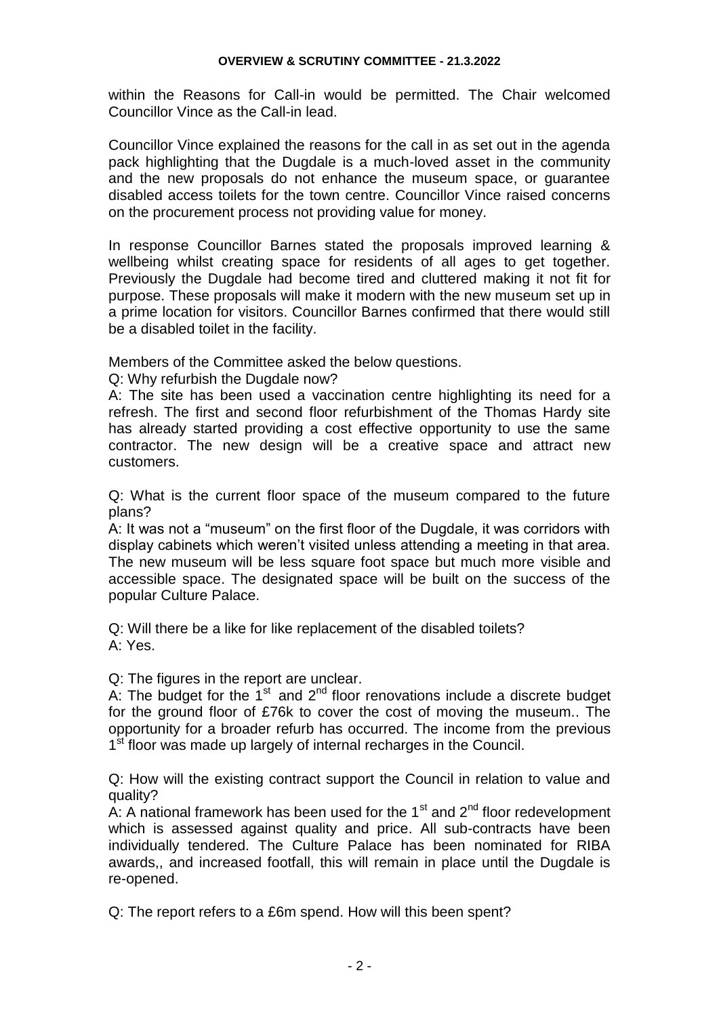within the Reasons for Call-in would be permitted. The Chair welcomed Councillor Vince as the Call-in lead.

Councillor Vince explained the reasons for the call in as set out in the agenda pack highlighting that the Dugdale is a much-loved asset in the community and the new proposals do not enhance the museum space, or guarantee disabled access toilets for the town centre. Councillor Vince raised concerns on the procurement process not providing value for money.

In response Councillor Barnes stated the proposals improved learning & wellbeing whilst creating space for residents of all ages to get together. Previously the Dugdale had become tired and cluttered making it not fit for purpose. These proposals will make it modern with the new museum set up in a prime location for visitors. Councillor Barnes confirmed that there would still be a disabled toilet in the facility.

Members of the Committee asked the below questions.

Q: Why refurbish the Dugdale now?

A: The site has been used a vaccination centre highlighting its need for a refresh. The first and second floor refurbishment of the Thomas Hardy site has already started providing a cost effective opportunity to use the same contractor. The new design will be a creative space and attract new customers.

Q: What is the current floor space of the museum compared to the future plans?

A: It was not a "museum" on the first floor of the Dugdale, it was corridors with display cabinets which weren't visited unless attending a meeting in that area. The new museum will be less square foot space but much more visible and accessible space. The designated space will be built on the success of the popular Culture Palace.

Q: Will there be a like for like replacement of the disabled toilets? A: Yes.

Q: The figures in the report are unclear.

A: The budget for the  $1<sup>st</sup>$  and  $2<sup>nd</sup>$  floor renovations include a discrete budget for the ground floor of £76k to cover the cost of moving the museum.. The opportunity for a broader refurb has occurred. The income from the previous 1<sup>st</sup> floor was made up largely of internal recharges in the Council.

Q: How will the existing contract support the Council in relation to value and quality?

A: A national framework has been used for the  $1<sup>st</sup>$  and  $2<sup>nd</sup>$  floor redevelopment which is assessed against quality and price. All sub-contracts have been individually tendered. The Culture Palace has been nominated for RIBA awards,, and increased footfall, this will remain in place until the Dugdale is re-opened.

Q: The report refers to a £6m spend. How will this been spent?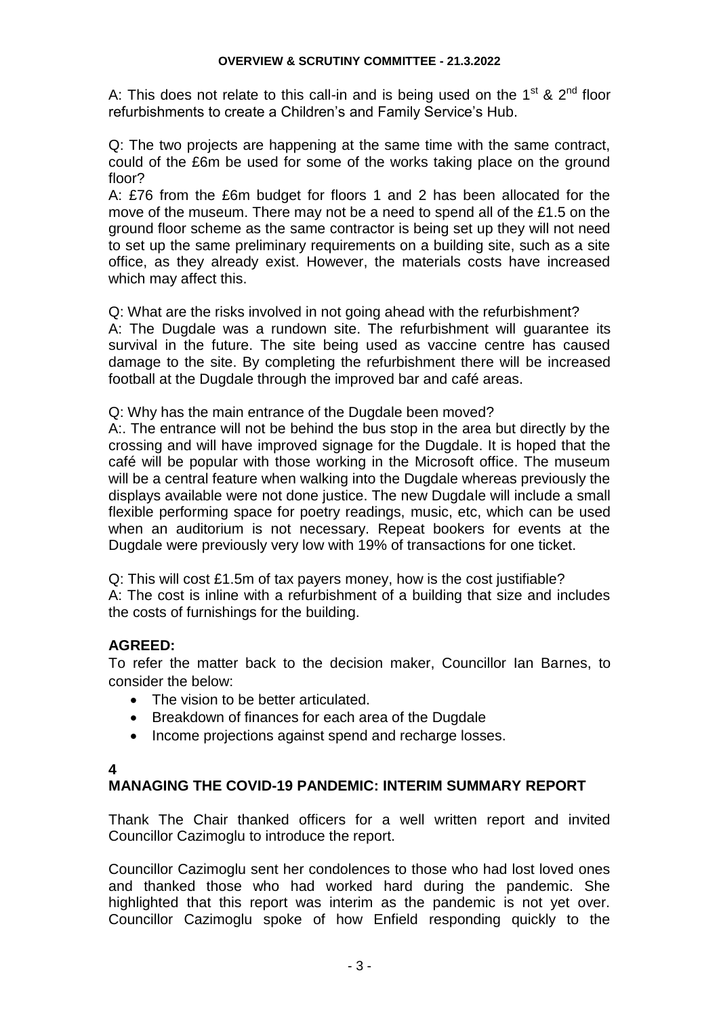A: This does not relate to this call-in and is being used on the  $1<sup>st</sup>$  &  $2<sup>nd</sup>$  floor refurbishments to create a Children's and Family Service's Hub.

Q: The two projects are happening at the same time with the same contract, could of the £6m be used for some of the works taking place on the ground floor?

A: £76 from the £6m budget for floors 1 and 2 has been allocated for the move of the museum. There may not be a need to spend all of the £1.5 on the ground floor scheme as the same contractor is being set up they will not need to set up the same preliminary requirements on a building site, such as a site office, as they already exist. However, the materials costs have increased which may affect this.

Q: What are the risks involved in not going ahead with the refurbishment?

A: The Dugdale was a rundown site. The refurbishment will guarantee its survival in the future. The site being used as vaccine centre has caused damage to the site. By completing the refurbishment there will be increased football at the Dugdale through the improved bar and café areas.

Q: Why has the main entrance of the Dugdale been moved?

A:. The entrance will not be behind the bus stop in the area but directly by the crossing and will have improved signage for the Dugdale. It is hoped that the café will be popular with those working in the Microsoft office. The museum will be a central feature when walking into the Dugdale whereas previously the displays available were not done justice. The new Dugdale will include a small flexible performing space for poetry readings, music, etc, which can be used when an auditorium is not necessary. Repeat bookers for events at the Dugdale were previously very low with 19% of transactions for one ticket.

Q: This will cost £1.5m of tax payers money, how is the cost justifiable? A: The cost is inline with a refurbishment of a building that size and includes the costs of furnishings for the building.

## **AGREED:**

To refer the matter back to the decision maker, Councillor Ian Barnes, to consider the below:

- The vision to be better articulated.
- Breakdown of finances for each area of the Dugdale
- Income projections against spend and recharge losses.

#### **4**

## **MANAGING THE COVID-19 PANDEMIC: INTERIM SUMMARY REPORT**

Thank The Chair thanked officers for a well written report and invited Councillor Cazimoglu to introduce the report.

Councillor Cazimoglu sent her condolences to those who had lost loved ones and thanked those who had worked hard during the pandemic. She highlighted that this report was interim as the pandemic is not yet over. Councillor Cazimoglu spoke of how Enfield responding quickly to the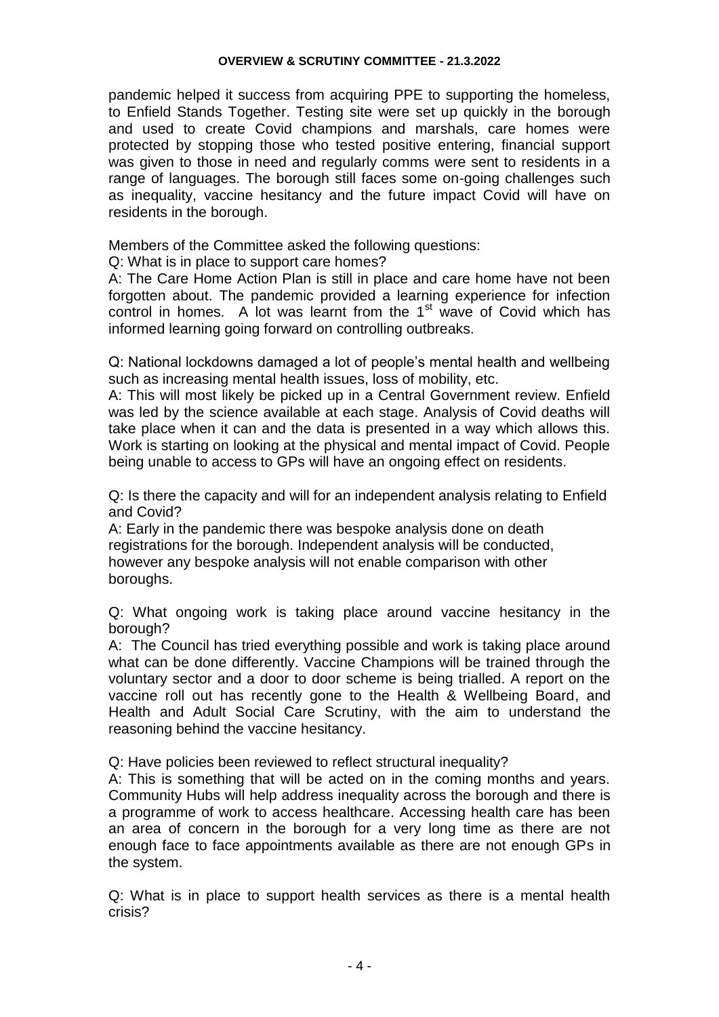pandemic helped it success from acquiring PPE to supporting the homeless, to Enfield Stands Together. Testing site were set up quickly in the borough and used to create Covid champions and marshals, care homes were protected by stopping those who tested positive entering, financial support was given to those in need and regularly comms were sent to residents in a range of languages. The borough still faces some on-going challenges such as inequality, vaccine hesitancy and the future impact Covid will have on residents in the borough.

Members of the Committee asked the following questions:

Q: What is in place to support care homes?

A: The Care Home Action Plan is still in place and care home have not been forgotten about. The pandemic provided a learning experience for infection control in homes. A lot was learnt from the  $1<sup>st</sup>$  wave of Covid which has informed learning going forward on controlling outbreaks.

Q: National lockdowns damaged a lot of people's mental health and wellbeing such as increasing mental health issues, loss of mobility, etc.

A: This will most likely be picked up in a Central Government review. Enfield was led by the science available at each stage. Analysis of Covid deaths will take place when it can and the data is presented in a way which allows this. Work is starting on looking at the physical and mental impact of Covid. People being unable to access to GPs will have an ongoing effect on residents.

Q: Is there the capacity and will for an independent analysis relating to Enfield and Covid?

A: Early in the pandemic there was bespoke analysis done on death registrations for the borough. Independent analysis will be conducted, however any bespoke analysis will not enable comparison with other boroughs.

Q: What ongoing work is taking place around vaccine hesitancy in the borough?

A: The Council has tried everything possible and work is taking place around what can be done differently. Vaccine Champions will be trained through the voluntary sector and a door to door scheme is being trialled. A report on the vaccine roll out has recently gone to the Health & Wellbeing Board, and Health and Adult Social Care Scrutiny, with the aim to understand the reasoning behind the vaccine hesitancy.

Q: Have policies been reviewed to reflect structural inequality?

A: This is something that will be acted on in the coming months and years. Community Hubs will help address inequality across the borough and there is a programme of work to access healthcare. Accessing health care has been an area of concern in the borough for a very long time as there are not enough face to face appointments available as there are not enough GPs in the system.

Q: What is in place to support health services as there is a mental health crisis?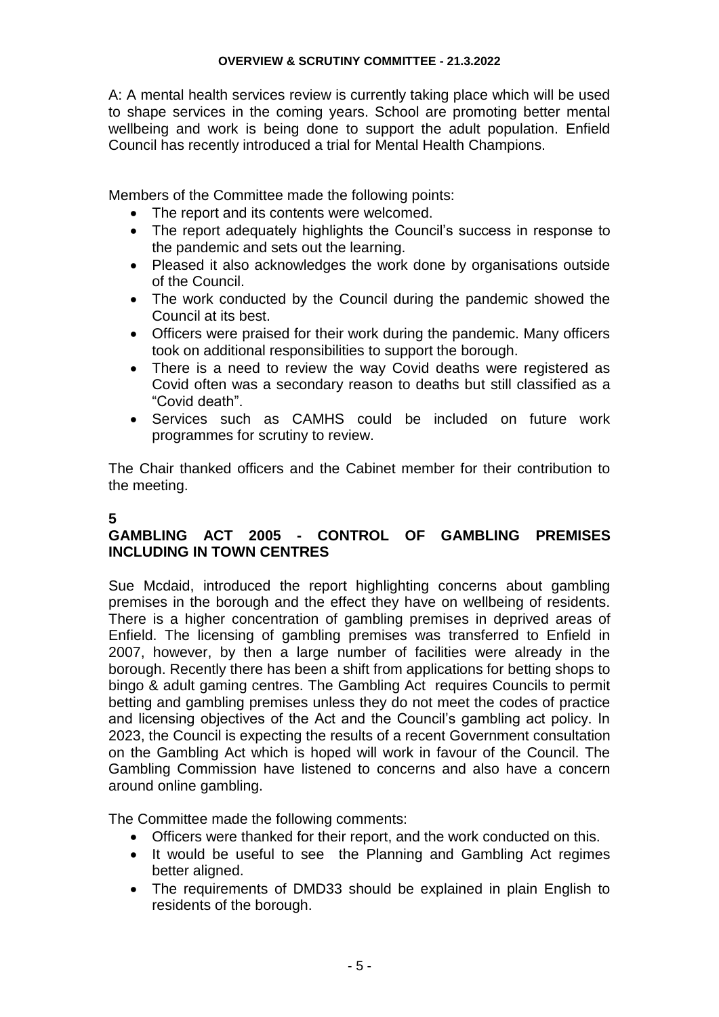A: A mental health services review is currently taking place which will be used to shape services in the coming years. School are promoting better mental wellbeing and work is being done to support the adult population. Enfield Council has recently introduced a trial for Mental Health Champions.

Members of the Committee made the following points:

- The report and its contents were welcomed.
- The report adequately highlights the Council's success in response to the pandemic and sets out the learning.
- Pleased it also acknowledges the work done by organisations outside of the Council.
- The work conducted by the Council during the pandemic showed the Council at its best.
- Officers were praised for their work during the pandemic. Many officers took on additional responsibilities to support the borough.
- There is a need to review the way Covid deaths were registered as Covid often was a secondary reason to deaths but still classified as a "Covid death".
- Services such as CAMHS could be included on future work programmes for scrutiny to review.

The Chair thanked officers and the Cabinet member for their contribution to the meeting.

## **5**

## **GAMBLING ACT 2005 - CONTROL OF GAMBLING PREMISES INCLUDING IN TOWN CENTRES**

Sue Mcdaid, introduced the report highlighting concerns about gambling premises in the borough and the effect they have on wellbeing of residents. There is a higher concentration of gambling premises in deprived areas of Enfield. The licensing of gambling premises was transferred to Enfield in 2007, however, by then a large number of facilities were already in the borough. Recently there has been a shift from applications for betting shops to bingo & adult gaming centres. The Gambling Act requires Councils to permit betting and gambling premises unless they do not meet the codes of practice and licensing objectives of the Act and the Council's gambling act policy. In 2023, the Council is expecting the results of a recent Government consultation on the Gambling Act which is hoped will work in favour of the Council. The Gambling Commission have listened to concerns and also have a concern around online gambling.

The Committee made the following comments:

- Officers were thanked for their report, and the work conducted on this.
- It would be useful to see the Planning and Gambling Act regimes better aligned.
- The requirements of DMD33 should be explained in plain English to residents of the borough.